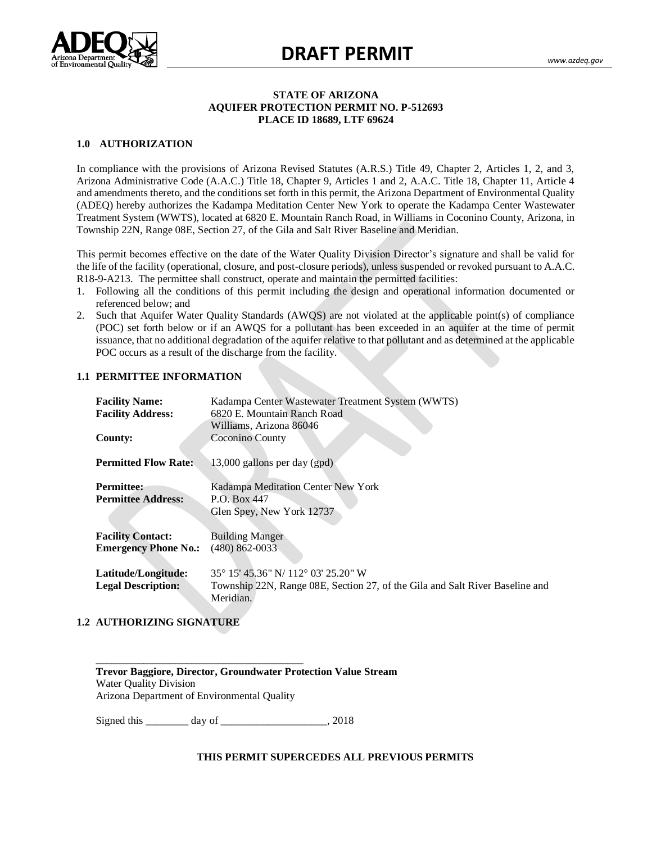

#### **STATE OF ARIZONA AQUIFER PROTECTION PERMIT NO. P-512693 PLACE ID 18689, LTF 69624**

### **1.0 AUTHORIZATION**

Arizona Administrative Code (A.A.C.) Title 18, Chapter 9, Articles 1 and 2, A.A.C. Title 18, Chapter 11, Article 4 and amendments thereto, and the conditions set forth in this permit, the Arizona Department of Environmental Quality (ADEQ) fictory admortes the Kadampa Meditation Center New York to operate the Kadampa Center Wastewater<br>Treatment System (WWTS), located at 6820 E. Mountain Ranch Road, in Williams in Coconino County, Arizona, in  $\frac{3}{3}$ In compliance with the provisions of Arizona Revised Statutes (A.R.S.) Title 49, Chapter 2, Articles 1, 2, and 3, (ADEQ) hereby authorizes the Kadampa Meditation Center New York to operate the Kadampa Center Wastewater Township 22N, Range 08E, Section 27, of the Gila and Salt River Baseline and Meridian.

the life of the facility (operational, closure, and post-closure periods), unless suspended or revoked pursuant to A.A.C. This permit becomes effective on the date of the Water Quality Division Director's signature and shall be valid for R18-9-A213. The permittee shall construct, operate and maintain the permitted facilities:

- 1. Following all the conditions of this permit including the design and operational information documented or referenced below; and
- 2. Such that Aquifer Water Quality Standards (AWQS) are not violated at the applicable point(s) of compliance (POC) set forth below or if an AWQS for a pollutant has been exceeded in an aquifer at the time of permit issuance, that no additional degradation of the aquifer relative to that pollutant and as determined at the applicable POC occurs as a result of the discharge from the facility.

#### **1.1 PERMITTEE INFORMATION**

| <b>Facility Name:</b><br><b>Facility Address:</b> | Kadampa Center Wastewater Treatment System (WWTS)<br>6820 E. Mountain Ranch Road<br>Williams, Arizona 86046 |  |  |
|---------------------------------------------------|-------------------------------------------------------------------------------------------------------------|--|--|
| <b>County:</b>                                    | Coconino County                                                                                             |  |  |
| <b>Permitted Flow Rate:</b>                       | 13,000 gallons per day (gpd)                                                                                |  |  |
| <b>Permittee:</b>                                 | Kadampa Meditation Center New York                                                                          |  |  |
| <b>Permittee Address:</b>                         | P.O. Box 447<br>Glen Spey, New York 12737                                                                   |  |  |
|                                                   |                                                                                                             |  |  |
| <b>Facility Contact:</b>                          | <b>Building Manger</b>                                                                                      |  |  |
| <b>Emergency Phone No.:</b>                       | $(480)$ 862-0033                                                                                            |  |  |
| Latitude/Longitude:                               | 35° 15′ 45.36″ N/ 112° 03′ 25.20″ W                                                                         |  |  |
| <b>Legal Description:</b>                         | Township 22N, Range 08E, Section 27, of the Gila and Salt River Baseline and<br>Meridian.                   |  |  |

#### **1.2 AUTHORIZING SIGNATURE**

**Trevor Baggiore, Director, Groundwater Protection Value Stream** Water Quality Division Arizona Department of Environmental Quality

Signed this \_\_\_\_\_\_\_\_\_ day of \_\_\_\_\_\_\_\_\_\_\_\_\_\_\_\_\_\_\_\_, 2018

\_\_\_\_\_\_\_\_\_\_\_\_\_\_\_\_\_\_\_\_\_\_\_\_\_\_\_\_\_\_\_\_\_\_\_\_\_\_\_

#### **THIS PERMIT SUPERCEDES ALL PREVIOUS PERMITS**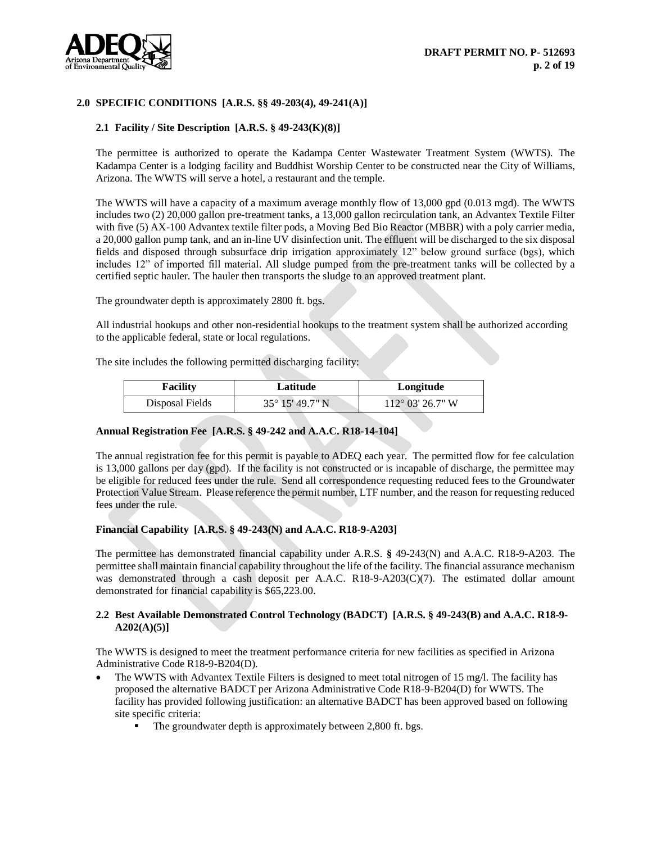

## **2.0 SPECIFIC CONDITIONS [A.R.S. §§ 49-203(4), 49-241(A)]**

#### **2.1 Facility / Site Description [A.R.S. § 49-243(K)(8)]**

The permittee is authorized to operate the Kadampa Center Wastewater Treatment System (WWTS). The Kadampa Center is a lodging facility and Buddhist Worship Center to be constructed near the City of Williams, Arizona. The WWTS will serve a hotel, a restaurant and the temple.

The WWTS will have a capacity of a maximum average monthly flow of 13,000 gpd (0.013 mgd). The WWTS includes two (2) 20,000 gallon pre-treatment tanks, a 13,000 gallon recirculation tank, an Advantex Textile Filter with five (5) AX-100 Advantex textile filter pods, a Moving Bed Bio Reactor (MBBR) with a poly carrier media, a 20,000 gallon pump tank, and an in-line UV disinfection unit. The effluent will be discharged to the six disposal fields and disposed through subsurface drip irrigation approximately 12" below ground surface (bgs), which includes 12" of imported fill material. All sludge pumped from the pre-treatment tanks will be collected by a certified septic hauler. The hauler then transports the sludge to an approved treatment plant.

The groundwater depth is approximately 2800 ft. bgs.

All industrial hookups and other non-residential hookups to the treatment system shall be authorized according to the applicable federal, state or local regulations.

The site includes the following permitted discharging facility:

| <b>Facility</b> | Latitude                 | Longitude                 |
|-----------------|--------------------------|---------------------------|
| Disposal Fields | $35^{\circ}$ 15' 49.7" N | $112^{\circ}$ 03' 26.7" W |

#### **Annual Registration Fee [A.R.S. § 49-242 and A.A.C. R18-14-104]**

The annual registration fee for this permit is payable to ADEQ each year. The permitted flow for fee calculation is 13,000 gallons per day (gpd). If the facility is not constructed or is incapable of discharge, the permittee may be eligible for reduced fees under the rule. Send all correspondence requesting reduced fees to the Groundwater Protection Value Stream. Please reference the permit number, LTF number, and the reason for requesting reduced fees under the rule.

#### **Financial Capability [A.R.S. § 49-243(N) and A.A.C. R18-9-A203]**

The permittee has demonstrated financial capability under A.R.S. **§** 49-243(N) and A.A.C. R18-9-A203. The permittee shall maintain financial capability throughout the life of the facility. The financial assurance mechanism was demonstrated through a cash deposit per A.A.C. R18-9-A203(C)(7). The estimated dollar amount demonstrated for financial capability is \$65,223.00.

#### **2.2 Best Available Demonstrated Control Technology (BADCT) [A.R.S. § 49-243(B) and A.A.C. R18-9- A202(A)(5)]**

The WWTS is designed to meet the treatment performance criteria for new facilities as specified in Arizona Administrative Code R18-9-B204(D).

- The WWTS with Advantex Textile Filters is designed to meet total nitrogen of 15 mg/l. The facility has proposed the alternative BADCT per Arizona Administrative Code R18-9-B204(D) for WWTS. The facility has provided following justification: an alternative BADCT has been approved based on following site specific criteria:
	- The groundwater depth is approximately between 2,800 ft. bgs.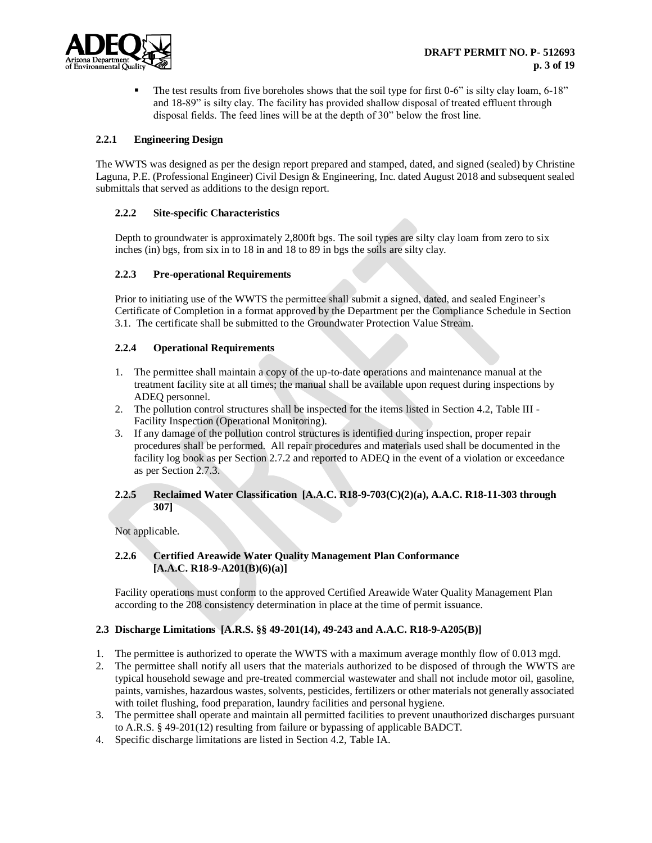

 $\blacksquare$  The test results from five boreholes shows that the soil type for first 0-6" is silty clay loam, 6-18" and 18-89" is silty clay. The facility has provided shallow disposal of treated effluent through disposal fields. The feed lines will be at the depth of 30" below the frost line.

## **2.2.1 Engineering Design**

The WWTS was designed as per the design report prepared and stamped, dated, and signed (sealed) by Christine Laguna, P.E. (Professional Engineer) Civil Design & Engineering, Inc. dated August 2018 and subsequent sealed submittals that served as additions to the design report.

## **2.2.2 Site-specific Characteristics**

Depth to groundwater is approximately 2,800ft bgs. The soil types are silty clay loam from zero to six inches (in) bgs, from six in to 18 in and 18 to 89 in bgs the soils are silty clay.

## **2.2.3 Pre-operational Requirements**

Prior to initiating use of the WWTS the permittee shall submit a signed, dated, and sealed Engineer's Certificate of Completion in a format approved by the Department per the Compliance Schedule in Section 3.1. The certificate shall be submitted to the Groundwater Protection Value Stream.

## **2.2.4 Operational Requirements**

- 1. The permittee shall maintain a copy of the up-to-date operations and maintenance manual at the treatment facility site at all times; the manual shall be available upon request during inspections by ADEQ personnel.
- 2. The pollution control structures shall be inspected for the items listed in Section 4.2, Table III Facility Inspection (Operational Monitoring).
- 3. If any damage of the pollution control structures is identified during inspection, proper repair procedures shall be performed. All repair procedures and materials used shall be documented in the facility log book as per Section 2.7.2 and reported to ADEQ in the event of a violation or exceedance as per Section 2.7.3.

## **2.2.5 Reclaimed Water Classification [A.A.C. R18-9-703(C)(2)(a), A.A.C. R18-11-303 through 307]**

Not applicable.

## **2.2.6 Certified Areawide Water Quality Management Plan Conformance [A.A.C. R18-9-A201(B)(6)(a)]**

Facility operations must conform to the approved Certified Areawide Water Quality Management Plan according to the 208 consistency determination in place at the time of permit issuance.

## **2.3 Discharge Limitations [A.R.S. §§ 49-201(14), 49-243 and A.A.C. R18-9-A205(B)]**

- 1. The permittee is authorized to operate the WWTS with a maximum average monthly flow of 0.013 mgd.
- 2. The permittee shall notify all users that the materials authorized to be disposed of through the WWTS are typical household sewage and pre-treated commercial wastewater and shall not include motor oil, gasoline, paints, varnishes, hazardous wastes, solvents, pesticides, fertilizers or other materials not generally associated with toilet flushing, food preparation, laundry facilities and personal hygiene.
- 3. The permittee shall operate and maintain all permitted facilities to prevent unauthorized discharges pursuant to A.R.S. § 49-201(12) resulting from failure or bypassing of applicable BADCT.
- 4. Specific discharge limitations are listed in Section 4.2, Table IA.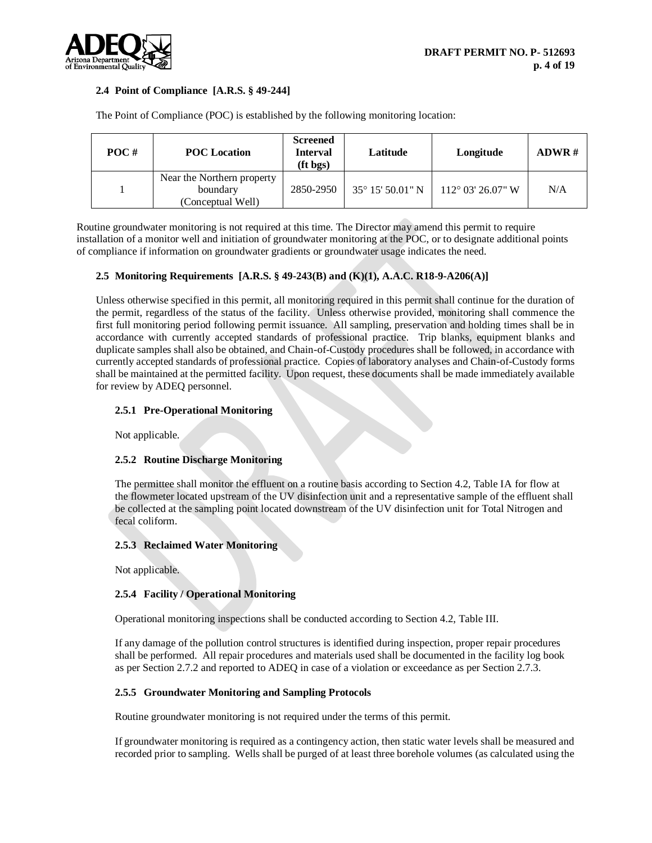

## **2.4 Point of Compliance [A.R.S. § 49-244]**

| POC# | <b>POC</b> Location                                         | <b>Screened</b><br><b>Interval</b><br>$(ft$ bgs) | Latitude                  | Longitude                  | ADWR# |
|------|-------------------------------------------------------------|--------------------------------------------------|---------------------------|----------------------------|-------|
|      | Near the Northern property<br>boundary<br>(Conceptual Well) | 2850-2950                                        | $35^{\circ}$ 15' 50.01" N | $112^{\circ}$ 03' 26.07" W | N/A   |

The Point of Compliance (POC) is established by the following monitoring location:

Routine groundwater monitoring is not required at this time. The Director may amend this permit to require installation of a monitor well and initiation of groundwater monitoring at the POC, or to designate additional points of compliance if information on groundwater gradients or groundwater usage indicates the need.

## **2.5 Monitoring Requirements [A.R.S. § 49-243(B) and (K)(1), A.A.C. R18-9-A206(A)]**

Unless otherwise specified in this permit, all monitoring required in this permit shall continue for the duration of the permit, regardless of the status of the facility. Unless otherwise provided, monitoring shall commence the first full monitoring period following permit issuance. All sampling, preservation and holding times shall be in accordance with currently accepted standards of professional practice. Trip blanks, equipment blanks and duplicate samples shall also be obtained, and Chain-of-Custody procedures shall be followed, in accordance with currently accepted standards of professional practice. Copies of laboratory analyses and Chain-of-Custody forms shall be maintained at the permitted facility. Upon request, these documents shall be made immediately available for review by ADEQ personnel.

## **2.5.1 Pre-Operational Monitoring**

Not applicable.

## **2.5.2 Routine Discharge Monitoring**

The permittee shall monitor the effluent on a routine basis according to Section 4.2, Table IA for flow at the flowmeter located upstream of the UV disinfection unit and a representative sample of the effluent shall be collected at the sampling point located downstream of the UV disinfection unit for Total Nitrogen and fecal coliform.

## **2.5.3 Reclaimed Water Monitoring**

Not applicable.

## **2.5.4 Facility / Operational Monitoring**

Operational monitoring inspections shall be conducted according to Section 4.2, Table III.

If any damage of the pollution control structures is identified during inspection, proper repair procedures shall be performed. All repair procedures and materials used shall be documented in the facility log book as per Section 2.7.2 and reported to ADEQ in case of a violation or exceedance as per Section 2.7.3.

## **2.5.5 Groundwater Monitoring and Sampling Protocols**

Routine groundwater monitoring is not required under the terms of this permit.

If groundwater monitoring is required as a contingency action, then static water levels shall be measured and recorded prior to sampling. Wells shall be purged of at least three borehole volumes (as calculated using the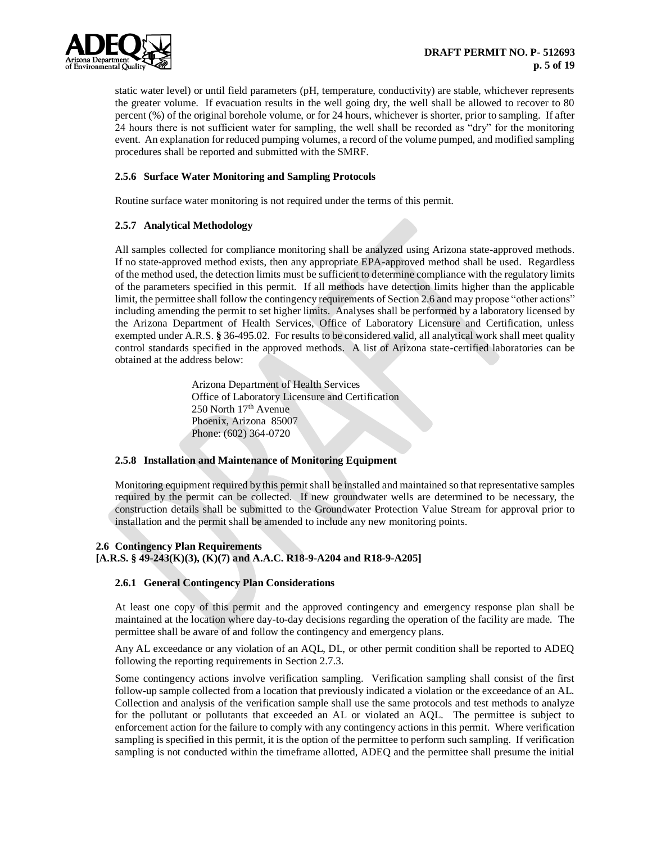

static water level) or until field parameters (pH, temperature, conductivity) are stable, whichever represents the greater volume. If evacuation results in the well going dry, the well shall be allowed to recover to 80 percent (%) of the original borehole volume, or for 24 hours, whichever is shorter, prior to sampling. If after 24 hours there is not sufficient water for sampling, the well shall be recorded as "dry" for the monitoring event. An explanation for reduced pumping volumes, a record of the volume pumped, and modified sampling procedures shall be reported and submitted with the SMRF.

## **2.5.6 Surface Water Monitoring and Sampling Protocols**

Routine surface water monitoring is not required under the terms of this permit.

#### **2.5.7 Analytical Methodology**

All samples collected for compliance monitoring shall be analyzed using Arizona state-approved methods. If no state-approved method exists, then any appropriate EPA-approved method shall be used. Regardless of the method used, the detection limits must be sufficient to determine compliance with the regulatory limits of the parameters specified in this permit. If all methods have detection limits higher than the applicable limit, the permittee shall follow the contingency requirements of Section 2.6 and may propose "other actions" including amending the permit to set higher limits. Analyses shall be performed by a laboratory licensed by the Arizona Department of Health Services, Office of Laboratory Licensure and Certification, unless exempted under A.R.S. **§** 36-495.02. For results to be considered valid, all analytical work shall meet quality control standards specified in the approved methods. A list of Arizona state-certified laboratories can be obtained at the address below:

> Arizona Department of Health Services Office of Laboratory Licensure and Certification 250 North 17<sup>th</sup> Avenue Phoenix, Arizona 85007 Phone: (602) 364-0720

#### **2.5.8 Installation and Maintenance of Monitoring Equipment**

Monitoring equipment required by this permit shall be installed and maintained so that representative samples required by the permit can be collected. If new groundwater wells are determined to be necessary, the construction details shall be submitted to the Groundwater Protection Value Stream for approval prior to installation and the permit shall be amended to include any new monitoring points.

#### **2.6 Contingency Plan Requirements**

**[A.R.S. § 49-243(K)(3), (K)(7) and A.A.C. R18-9-A204 and R18-9-A205]**

#### **2.6.1 General Contingency Plan Considerations**

At least one copy of this permit and the approved contingency and emergency response plan shall be maintained at the location where day-to-day decisions regarding the operation of the facility are made. The permittee shall be aware of and follow the contingency and emergency plans.

Any AL exceedance or any violation of an AQL, DL, or other permit condition shall be reported to ADEQ following the reporting requirements in Section 2.7.3.

Some contingency actions involve verification sampling. Verification sampling shall consist of the first follow-up sample collected from a location that previously indicated a violation or the exceedance of an AL. Collection and analysis of the verification sample shall use the same protocols and test methods to analyze for the pollutant or pollutants that exceeded an AL or violated an AQL. The permittee is subject to enforcement action for the failure to comply with any contingency actions in this permit. Where verification sampling is specified in this permit, it is the option of the permittee to perform such sampling. If verification sampling is not conducted within the timeframe allotted, ADEQ and the permittee shall presume the initial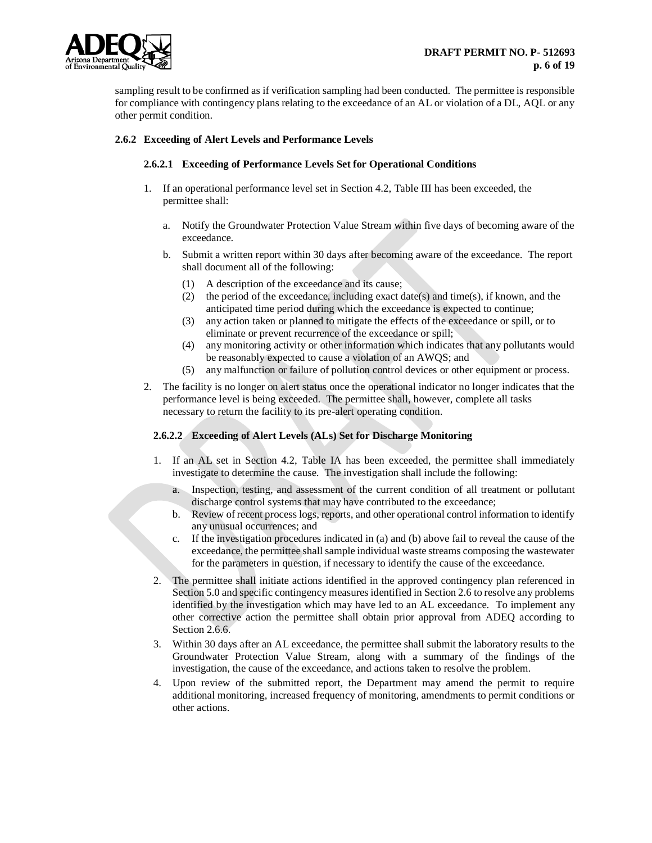

sampling result to be confirmed as if verification sampling had been conducted. The permittee is responsible for compliance with contingency plans relating to the exceedance of an AL or violation of a DL, AQL or any other permit condition.

## **2.6.2 Exceeding of Alert Levels and Performance Levels**

## **2.6.2.1 Exceeding of Performance Levels Set for Operational Conditions**

- 1. If an operational performance level set in Section 4.2, Table III has been exceeded, the permittee shall:
	- a. Notify the Groundwater Protection Value Stream within five days of becoming aware of the exceedance.
	- b. Submit a written report within 30 days after becoming aware of the exceedance. The report shall document all of the following:
		- (1) A description of the exceedance and its cause;
		- (2) the period of the exceedance, including exact date(s) and time(s), if known, and the anticipated time period during which the exceedance is expected to continue;
		- (3) any action taken or planned to mitigate the effects of the exceedance or spill, or to eliminate or prevent recurrence of the exceedance or spill;
		- (4) any monitoring activity or other information which indicates that any pollutants would be reasonably expected to cause a violation of an AWQS; and
		- (5) any malfunction or failure of pollution control devices or other equipment or process.
- 2. The facility is no longer on alert status once the operational indicator no longer indicates that the performance level is being exceeded. The permittee shall, however, complete all tasks necessary to return the facility to its pre-alert operating condition.

## **2.6.2.2 Exceeding of Alert Levels (ALs) Set for Discharge Monitoring**

- 1. If an AL set in Section 4.2, Table IA has been exceeded, the permittee shall immediately investigate to determine the cause. The investigation shall include the following:
	- a. Inspection, testing, and assessment of the current condition of all treatment or pollutant discharge control systems that may have contributed to the exceedance;
	- b. Review of recent process logs, reports, and other operational control information to identify any unusual occurrences; and
	- c. If the investigation procedures indicated in (a) and (b) above fail to reveal the cause of the exceedance, the permittee shall sample individual waste streams composing the wastewater for the parameters in question, if necessary to identify the cause of the exceedance.
- 2. The permittee shall initiate actions identified in the approved contingency plan referenced in Section 5.0 and specific contingency measures identified in Section 2.6 to resolve any problems identified by the investigation which may have led to an AL exceedance. To implement any other corrective action the permittee shall obtain prior approval from ADEQ according to Section 2.6.6.
- 3. Within 30 days after an AL exceedance, the permittee shall submit the laboratory results to the Groundwater Protection Value Stream, along with a summary of the findings of the investigation, the cause of the exceedance, and actions taken to resolve the problem.
- 4. Upon review of the submitted report, the Department may amend the permit to require additional monitoring, increased frequency of monitoring, amendments to permit conditions or other actions.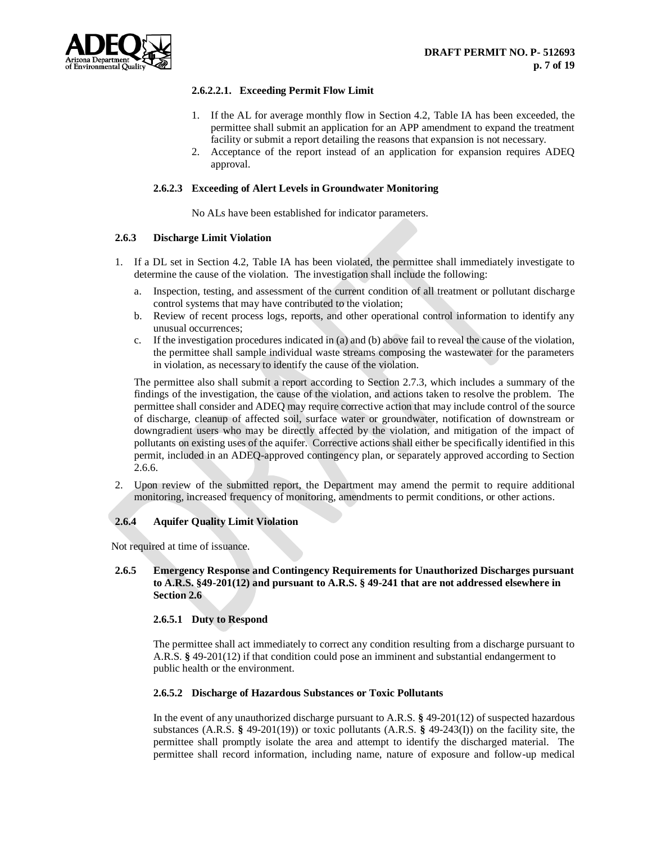## **2.6.2.2.1. Exceeding Permit Flow Limit**

- 1. If the AL for average monthly flow in Section 4.2, Table IA has been exceeded, the permittee shall submit an application for an APP amendment to expand the treatment facility or submit a report detailing the reasons that expansion is not necessary.
- 2. Acceptance of the report instead of an application for expansion requires ADEQ approval.

#### **2.6.2.3 Exceeding of Alert Levels in Groundwater Monitoring**

No ALs have been established for indicator parameters.

#### **2.6.3 Discharge Limit Violation**

- 1. If a DL set in Section 4.2, Table IA has been violated, the permittee shall immediately investigate to determine the cause of the violation. The investigation shall include the following:
	- a. Inspection, testing, and assessment of the current condition of all treatment or pollutant discharge control systems that may have contributed to the violation;
	- b. Review of recent process logs, reports, and other operational control information to identify any unusual occurrences;
	- c. If the investigation procedures indicated in (a) and (b) above fail to reveal the cause of the violation, the permittee shall sample individual waste streams composing the wastewater for the parameters in violation, as necessary to identify the cause of the violation.

The permittee also shall submit a report according to Section 2.7.3, which includes a summary of the findings of the investigation, the cause of the violation, and actions taken to resolve the problem. The permittee shall consider and ADEQ may require corrective action that may include control of the source of discharge, cleanup of affected soil, surface water or groundwater, notification of downstream or downgradient users who may be directly affected by the violation, and mitigation of the impact of pollutants on existing uses of the aquifer. Corrective actions shall either be specifically identified in this permit, included in an ADEQ-approved contingency plan, or separately approved according to Section 2.6.6.

2. Upon review of the submitted report, the Department may amend the permit to require additional monitoring, increased frequency of monitoring, amendments to permit conditions, or other actions.

## **2.6.4 Aquifer Quality Limit Violation**

Not required at time of issuance.

## **2.6.5 Emergency Response and Contingency Requirements for Unauthorized Discharges pursuant to A.R.S. §49-201(12) and pursuant to A.R.S. § 49-241 that are not addressed elsewhere in Section 2.6**

#### **2.6.5.1 Duty to Respond**

The permittee shall act immediately to correct any condition resulting from a discharge pursuant to A.R.S. **§** 49-201(12) if that condition could pose an imminent and substantial endangerment to public health or the environment.

#### **2.6.5.2 Discharge of Hazardous Substances or Toxic Pollutants**

In the event of any unauthorized discharge pursuant to A.R.S. **§** 49-201(12) of suspected hazardous substances (A.R.S. **§** 49-201(19)) or toxic pollutants (A.R.S. **§** 49-243(I)) on the facility site, the permittee shall promptly isolate the area and attempt to identify the discharged material. The permittee shall record information, including name, nature of exposure and follow-up medical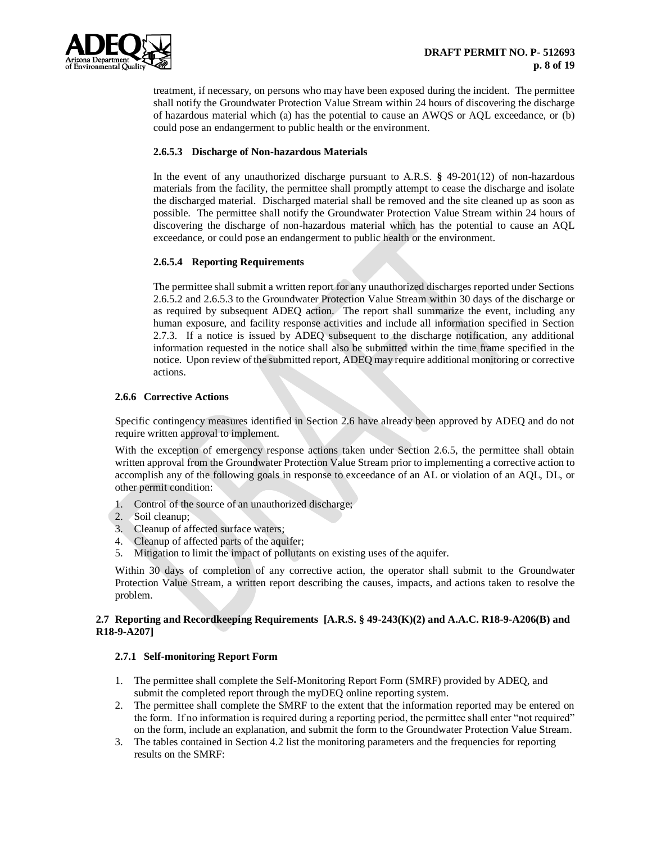

treatment, if necessary, on persons who may have been exposed during the incident. The permittee shall notify the Groundwater Protection Value Stream within 24 hours of discovering the discharge of hazardous material which (a) has the potential to cause an AWQS or AQL exceedance, or (b) could pose an endangerment to public health or the environment.

## **2.6.5.3 Discharge of Non-hazardous Materials**

In the event of any unauthorized discharge pursuant to A.R.S. **§** 49-201(12) of non-hazardous materials from the facility, the permittee shall promptly attempt to cease the discharge and isolate the discharged material. Discharged material shall be removed and the site cleaned up as soon as possible. The permittee shall notify the Groundwater Protection Value Stream within 24 hours of discovering the discharge of non-hazardous material which has the potential to cause an AQL exceedance, or could pose an endangerment to public health or the environment.

## **2.6.5.4 Reporting Requirements**

The permittee shall submit a written report for any unauthorized discharges reported under Sections 2.6.5.2 and 2.6.5.3 to the Groundwater Protection Value Stream within 30 days of the discharge or as required by subsequent ADEQ action. The report shall summarize the event, including any human exposure, and facility response activities and include all information specified in Section 2.7.3. If a notice is issued by ADEQ subsequent to the discharge notification, any additional information requested in the notice shall also be submitted within the time frame specified in the notice. Upon review of the submitted report, ADEQ may require additional monitoring or corrective actions.

## **2.6.6 Corrective Actions**

Specific contingency measures identified in Section 2.6 have already been approved by ADEQ and do not require written approval to implement.

With the exception of emergency response actions taken under Section 2.6.5, the permittee shall obtain written approval from the Groundwater Protection Value Stream prior to implementing a corrective action to accomplish any of the following goals in response to exceedance of an AL or violation of an AQL, DL, or other permit condition:

- 1. Control of the source of an unauthorized discharge;
- 2. Soil cleanup;
- 3. Cleanup of affected surface waters;
- 4. Cleanup of affected parts of the aquifer;
- 5. Mitigation to limit the impact of pollutants on existing uses of the aquifer.

Within 30 days of completion of any corrective action, the operator shall submit to the Groundwater Protection Value Stream, a written report describing the causes, impacts, and actions taken to resolve the problem.

## **2.7 Reporting and Recordkeeping Requirements [A.R.S. § 49-243(K)(2) and A.A.C. R18-9-A206(B) and R18-9-A207]**

## **2.7.1 Self-monitoring Report Form**

- 1. The permittee shall complete the Self-Monitoring Report Form (SMRF) provided by ADEQ, and submit the completed report through the myDEQ online reporting system.
- 2. The permittee shall complete the SMRF to the extent that the information reported may be entered on the form. If no information is required during a reporting period, the permittee shall enter "not required" on the form, include an explanation, and submit the form to the Groundwater Protection Value Stream.
- 3. The tables contained in Section 4.2 list the monitoring parameters and the frequencies for reporting results on the SMRF: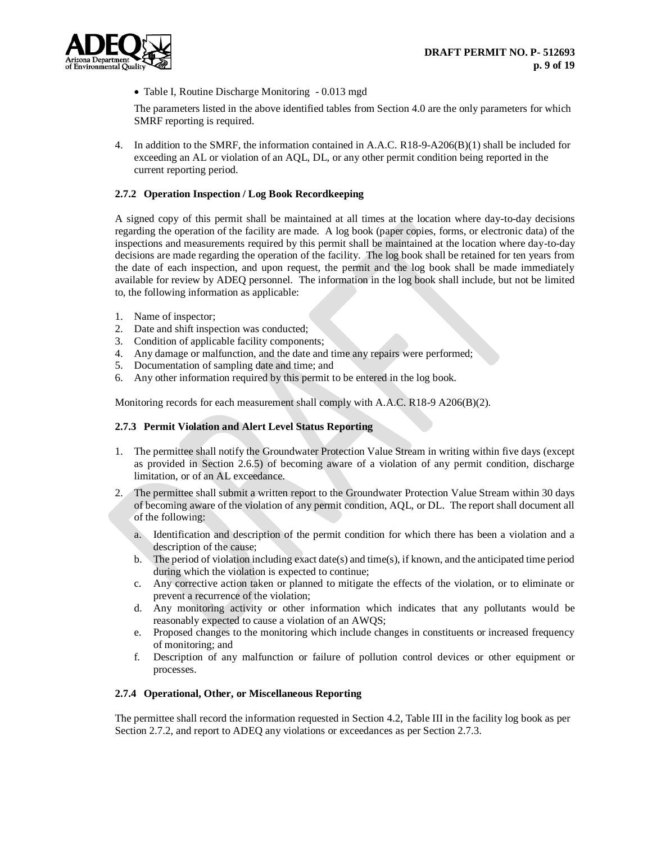

• Table I, Routine Discharge Monitoring - 0.013 mgd

The parameters listed in the above identified tables from Section 4.0 are the only parameters for which SMRF reporting is required.

4. In addition to the SMRF, the information contained in A.A.C. R18-9-A206(B)(1) shall be included for exceeding an AL or violation of an AQL, DL, or any other permit condition being reported in the current reporting period.

### **2.7.2 Operation Inspection / Log Book Recordkeeping**

A signed copy of this permit shall be maintained at all times at the location where day-to-day decisions regarding the operation of the facility are made. A log book (paper copies, forms, or electronic data) of the inspections and measurements required by this permit shall be maintained at the location where day-to-day decisions are made regarding the operation of the facility. The log book shall be retained for ten years from the date of each inspection, and upon request, the permit and the log book shall be made immediately available for review by ADEQ personnel. The information in the log book shall include, but not be limited to, the following information as applicable:

- 1. Name of inspector;
- 2. Date and shift inspection was conducted;
- 3. Condition of applicable facility components;
- 4. Any damage or malfunction, and the date and time any repairs were performed;
- 5. Documentation of sampling date and time; and
- 6. Any other information required by this permit to be entered in the log book.

Monitoring records for each measurement shall comply with A.A.C. R18-9 A206(B)(2).

#### **2.7.3 Permit Violation and Alert Level Status Reporting**

- 1. The permittee shall notify the Groundwater Protection Value Stream in writing within five days (except as provided in Section 2.6.5) of becoming aware of a violation of any permit condition, discharge limitation, or of an AL exceedance.
- 2. The permittee shall submit a written report to the Groundwater Protection Value Stream within 30 days of becoming aware of the violation of any permit condition, AQL, or DL. The report shall document all of the following:
	- a. Identification and description of the permit condition for which there has been a violation and a description of the cause;
	- b. The period of violation including exact date(s) and time(s), if known, and the anticipated time period during which the violation is expected to continue;
	- c. Any corrective action taken or planned to mitigate the effects of the violation, or to eliminate or prevent a recurrence of the violation;
	- d. Any monitoring activity or other information which indicates that any pollutants would be reasonably expected to cause a violation of an AWQS;
	- e. Proposed changes to the monitoring which include changes in constituents or increased frequency of monitoring; and
	- f. Description of any malfunction or failure of pollution control devices or other equipment or processes.

#### **2.7.4 Operational, Other, or Miscellaneous Reporting**

The permittee shall record the information requested in Section 4.2, Table III in the facility log book as per Section 2.7.2, and report to ADEQ any violations or exceedances as per Section 2.7.3.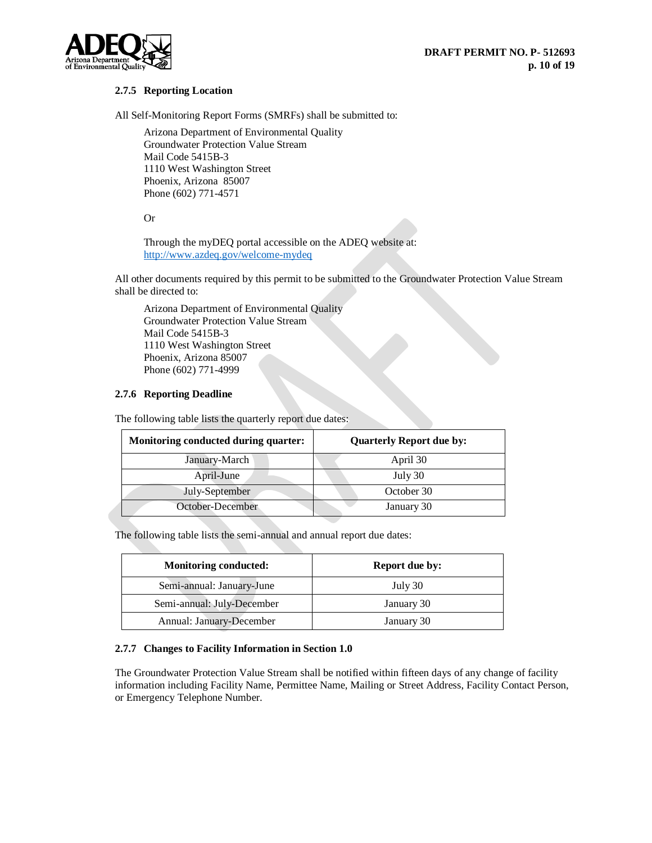

## **2.7.5 Reporting Location**

All Self-Monitoring Report Forms (SMRFs) shall be submitted to:

Arizona Department of Environmental Quality Groundwater Protection Value Stream Mail Code 5415B-3 1110 West Washington Street Phoenix, Arizona 85007 Phone (602) 771-4571

### Or

Through the myDEQ portal accessible on the ADEQ website at: <http://www.azdeq.gov/welcome-mydeq>

All other documents required by this permit to be submitted to the Groundwater Protection Value Stream shall be directed to:

Arizona Department of Environmental Quality Groundwater Protection Value Stream Mail Code 5415B-3 1110 West Washington Street Phoenix, Arizona 85007 Phone (602) 771-4999

## **2.7.6 Reporting Deadline**

The following table lists the quarterly report due dates:

| Monitoring conducted during quarter: | <b>Quarterly Report due by:</b> |
|--------------------------------------|---------------------------------|
| January-March                        | April 30                        |
| April-June                           | July 30                         |
| July-September                       | October 30                      |
| October-December                     | January 30                      |

The following table lists the semi-annual and annual report due dates:

| <b>Monitoring conducted:</b>    | <b>Report due by:</b> |
|---------------------------------|-----------------------|
| Semi-annual: January-June       | July 30               |
| Semi-annual: July-December      | January 30            |
| <b>Annual: January-December</b> | January 30            |

## **2.7.7 Changes to Facility Information in Section 1.0**

The Groundwater Protection Value Stream shall be notified within fifteen days of any change of facility information including Facility Name, Permittee Name, Mailing or Street Address, Facility Contact Person, or Emergency Telephone Number.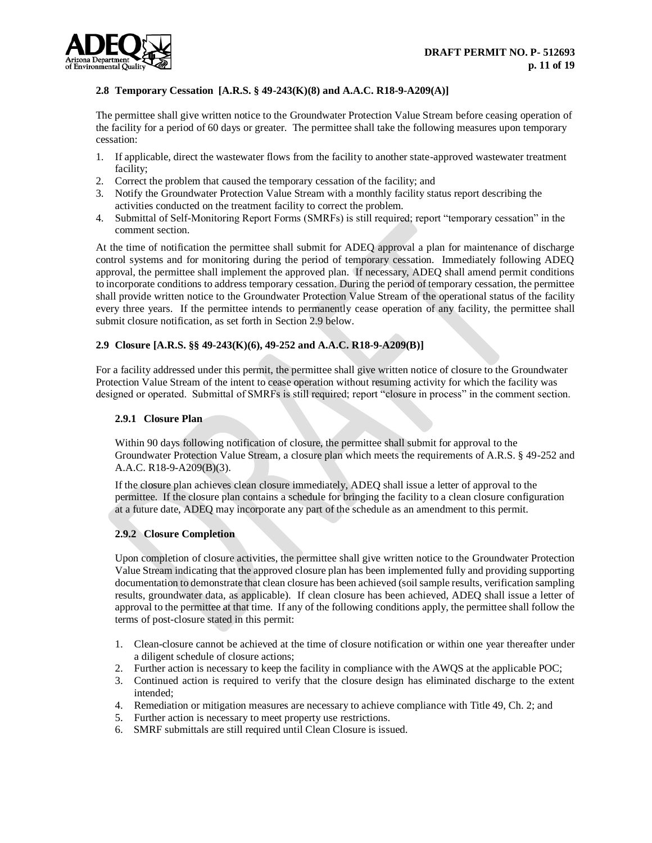## **2.8 Temporary Cessation [A.R.S. § 49-243(K)(8) and A.A.C. R18-9-A209(A)]**

The permittee shall give written notice to the Groundwater Protection Value Stream before ceasing operation of the facility for a period of 60 days or greater. The permittee shall take the following measures upon temporary cessation:

- 1. If applicable, direct the wastewater flows from the facility to another state-approved wastewater treatment facility;
- 2. Correct the problem that caused the temporary cessation of the facility; and
- 3. Notify the Groundwater Protection Value Stream with a monthly facility status report describing the activities conducted on the treatment facility to correct the problem.
- 4. Submittal of Self-Monitoring Report Forms (SMRFs) is still required; report "temporary cessation" in the comment section.

At the time of notification the permittee shall submit for ADEQ approval a plan for maintenance of discharge control systems and for monitoring during the period of temporary cessation. Immediately following ADEQ approval, the permittee shall implement the approved plan. If necessary, ADEQ shall amend permit conditions to incorporate conditions to address temporary cessation. During the period of temporary cessation, the permittee shall provide written notice to the Groundwater Protection Value Stream of the operational status of the facility every three years. If the permittee intends to permanently cease operation of any facility, the permittee shall submit closure notification, as set forth in Section 2.9 below.

## **2.9 Closure [A.R.S. §§ 49-243(K)(6), 49-252 and A.A.C. R18-9-A209(B)]**

For a facility addressed under this permit, the permittee shall give written notice of closure to the Groundwater Protection Value Stream of the intent to cease operation without resuming activity for which the facility was designed or operated. Submittal of SMRFs is still required; report "closure in process" in the comment section.

### **2.9.1 Closure Plan**

Within 90 days following notification of closure, the permittee shall submit for approval to the Groundwater Protection Value Stream, a closure plan which meets the requirements of A.R.S. § 49-252 and A.A.C. R18-9-A209(B)(3).

If the closure plan achieves clean closure immediately, ADEQ shall issue a letter of approval to the permittee. If the closure plan contains a schedule for bringing the facility to a clean closure configuration at a future date, ADEQ may incorporate any part of the schedule as an amendment to this permit.

## **2.9.2 Closure Completion**

Upon completion of closure activities, the permittee shall give written notice to the Groundwater Protection Value Stream indicating that the approved closure plan has been implemented fully and providing supporting documentation to demonstrate that clean closure has been achieved (soil sample results, verification sampling results, groundwater data, as applicable). If clean closure has been achieved, ADEQ shall issue a letter of approval to the permittee at that time. If any of the following conditions apply, the permittee shall follow the terms of post-closure stated in this permit:

- 1. Clean-closure cannot be achieved at the time of closure notification or within one year thereafter under a diligent schedule of closure actions;
- 2. Further action is necessary to keep the facility in compliance with the AWQS at the applicable POC;
- 3. Continued action is required to verify that the closure design has eliminated discharge to the extent intended;
- 4. Remediation or mitigation measures are necessary to achieve compliance with Title 49, Ch. 2; and
- 5. Further action is necessary to meet property use restrictions.
- 6. SMRF submittals are still required until Clean Closure is issued.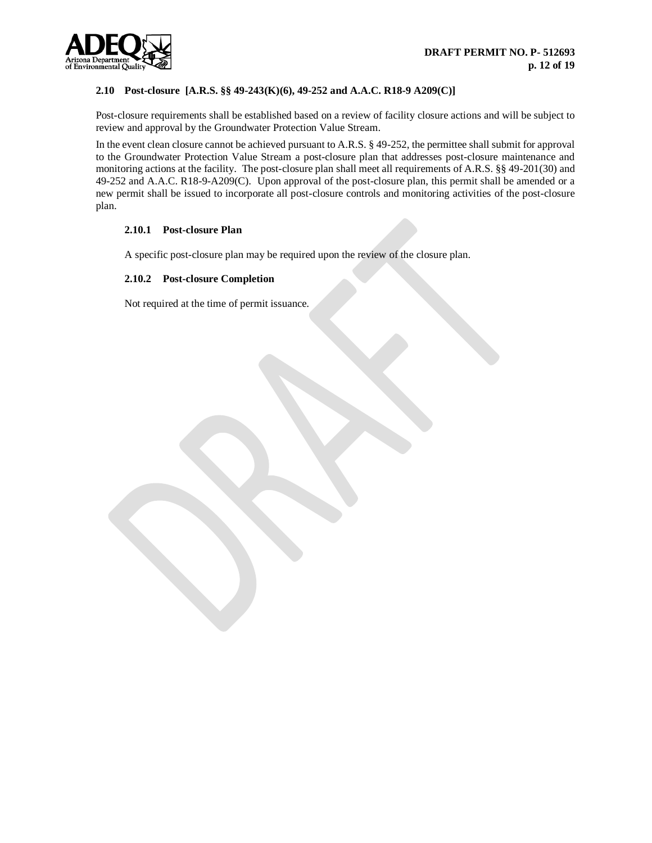

## **2.10 Post-closure [A.R.S. §§ 49-243(K)(6), 49-252 and A.A.C. R18-9 A209(C)]**

Post-closure requirements shall be established based on a review of facility closure actions and will be subject to review and approval by the Groundwater Protection Value Stream.

In the event clean closure cannot be achieved pursuant to A.R.S. § 49-252, the permittee shall submit for approval to the Groundwater Protection Value Stream a post-closure plan that addresses post-closure maintenance and monitoring actions at the facility. The post-closure plan shall meet all requirements of A.R.S. §§ 49-201(30) and 49-252 and A.A.C. R18-9-A209(C). Upon approval of the post-closure plan, this permit shall be amended or a new permit shall be issued to incorporate all post-closure controls and monitoring activities of the post-closure plan.

#### **2.10.1 Post-closure Plan**

A specific post-closure plan may be required upon the review of the closure plan.

#### **2.10.2 Post-closure Completion**

Not required at the time of permit issuance.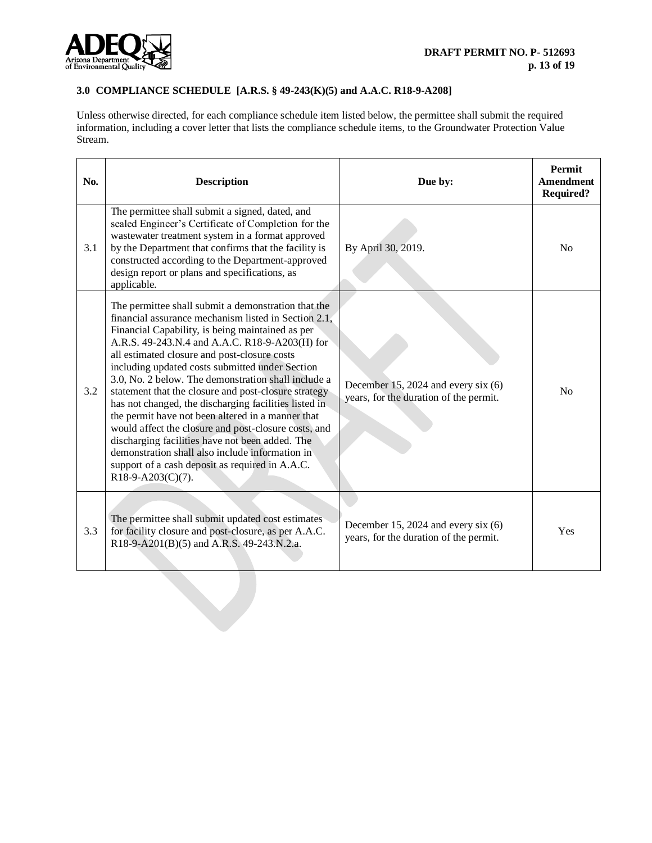

## **3.0 COMPLIANCE SCHEDULE [A.R.S. § 49-243(K)(5) and A.A.C. R18-9-A208]**

Unless otherwise directed, for each compliance schedule item listed below, the permittee shall submit the required information, including a cover letter that lists the compliance schedule items, to the Groundwater Protection Value Stream.

| No. | <b>Description</b>                                                                                                                                                                                                                                                                                                                                                                                                                                                                                                                                                                                                                                                                                                                                                                         | Due by:                                                                         | Permit<br><b>Amendment</b><br><b>Required?</b> |
|-----|--------------------------------------------------------------------------------------------------------------------------------------------------------------------------------------------------------------------------------------------------------------------------------------------------------------------------------------------------------------------------------------------------------------------------------------------------------------------------------------------------------------------------------------------------------------------------------------------------------------------------------------------------------------------------------------------------------------------------------------------------------------------------------------------|---------------------------------------------------------------------------------|------------------------------------------------|
| 3.1 | The permittee shall submit a signed, dated, and<br>sealed Engineer's Certificate of Completion for the<br>wastewater treatment system in a format approved<br>by the Department that confirms that the facility is<br>constructed according to the Department-approved<br>design report or plans and specifications, as<br>applicable.                                                                                                                                                                                                                                                                                                                                                                                                                                                     | By April 30, 2019.                                                              | N <sub>0</sub>                                 |
| 3.2 | The permittee shall submit a demonstration that the<br>financial assurance mechanism listed in Section 2.1,<br>Financial Capability, is being maintained as per<br>A.R.S. 49-243.N.4 and A.A.C. R18-9-A203(H) for<br>all estimated closure and post-closure costs<br>including updated costs submitted under Section<br>3.0, No. 2 below. The demonstration shall include a<br>statement that the closure and post-closure strategy<br>has not changed, the discharging facilities listed in<br>the permit have not been altered in a manner that<br>would affect the closure and post-closure costs, and<br>discharging facilities have not been added. The<br>demonstration shall also include information in<br>support of a cash deposit as required in A.A.C.<br>$R18-9-A203(C)(7)$ . | December 15, 2024 and every six $(6)$<br>years, for the duration of the permit. | No                                             |
| 3.3 | The permittee shall submit updated cost estimates<br>for facility closure and post-closure, as per A.A.C.<br>R18-9-A201(B)(5) and A.R.S. 49-243.N.2.a.                                                                                                                                                                                                                                                                                                                                                                                                                                                                                                                                                                                                                                     | December 15, 2024 and every six $(6)$<br>years, for the duration of the permit. | Yes                                            |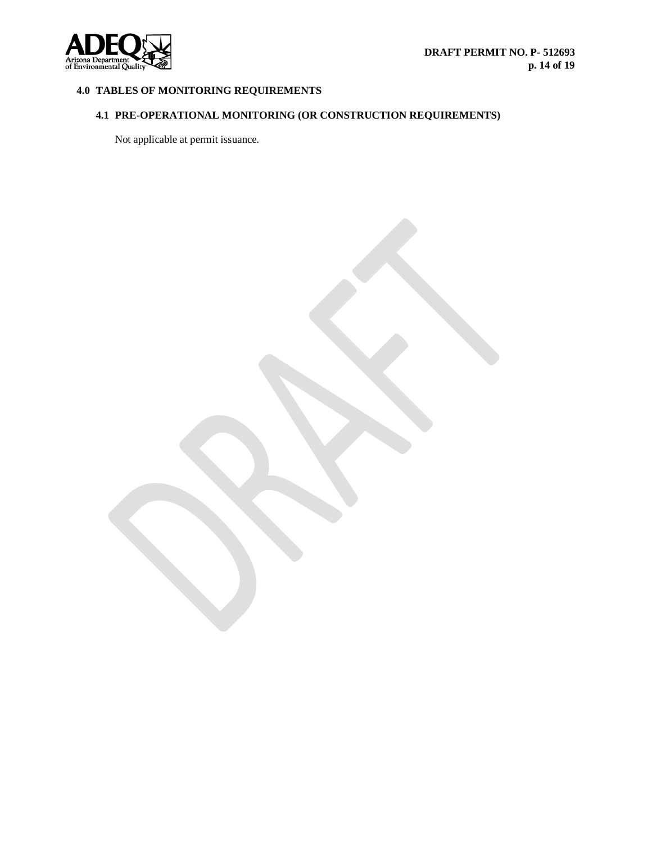

# **4.0 TABLES OF MONITORING REQUIREMENTS**

# **4.1 PRE-OPERATIONAL MONITORING (OR CONSTRUCTION REQUIREMENTS)**

Not applicable at permit issuance.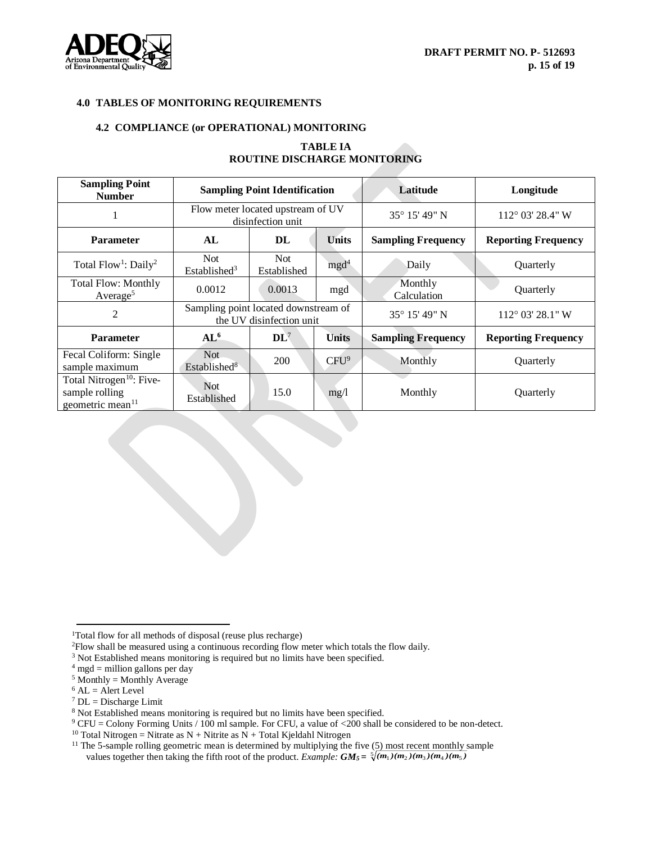

## **4.0 TABLES OF MONITORING REQUIREMENTS**

#### **4.2 COMPLIANCE (or OPERATIONAL) MONITORING**

## **TABLE IA ROUTINE DISCHARGE MONITORING**

| <b>Sampling Point</b><br><b>Number</b>                                                 | <b>Sampling Point Identification</b>                             |                     |                  | Latitude                  | Longitude                  |
|----------------------------------------------------------------------------------------|------------------------------------------------------------------|---------------------|------------------|---------------------------|----------------------------|
|                                                                                        | Flow meter located upstream of UV<br>disinfection unit           |                     | 35° 15′ 49″ N    | $112^{\circ}$ 03' 28.4" W |                            |
| <b>Parameter</b>                                                                       | AL                                                               | DL                  | <b>Units</b>     | <b>Sampling Frequency</b> | <b>Reporting Frequency</b> |
| Total Flow <sup>1</sup> : Daily <sup>2</sup>                                           | Not<br>Established <sup>3</sup>                                  | Not.<br>Established | mgd <sup>4</sup> | Daily                     | Quarterly                  |
| <b>Total Flow: Monthly</b><br>Average <sup>5</sup>                                     | 0.0012                                                           | 0.0013              | mgd              | Monthly<br>Calculation    | Quarterly                  |
| 2                                                                                      | Sampling point located downstream of<br>the UV disinfection unit |                     |                  | 35° 15′ 49″ N             | 112° 03' 28.1" W           |
| <b>Parameter</b>                                                                       | AL <sup>6</sup>                                                  | $\mathbf{DL}^7$     | <b>Units</b>     | <b>Sampling Frequency</b> | <b>Reporting Frequency</b> |
| Fecal Coliform: Single<br>sample maximum                                               | Not<br>Established <sup>8</sup>                                  | <b>200</b>          | CFU <sup>9</sup> | Monthly                   | Quarterly                  |
| Total Nitrogen <sup>10</sup> : Five-<br>sample rolling<br>geometric mean <sup>11</sup> | <b>Not</b><br>Established                                        | 15.0                | mg/1             | Monthly                   | Quarterly                  |

- <sup>2</sup>Flow shall be measured using a continuous recording flow meter which totals the flow daily.
- <sup>3</sup> Not Established means monitoring is required but no limits have been specified.
- $4 \text{ mgd}$  = million gallons per day
- $5$  Monthly = Monthly Average
- $6$  AL = Alert Level

 $\overline{a}$ 

- $7$  DL = Discharge Limit
- <sup>8</sup> Not Established means monitoring is required but no limits have been specified.

<sup>&</sup>lt;sup>1</sup>Total flow for all methods of disposal (reuse plus recharge)

 $9$  CFU = Colony Forming Units / 100 ml sample. For CFU, a value of <200 shall be considered to be non-detect.

<sup>&</sup>lt;sup>10</sup> Total Nitrogen = Nitrate as N + Nitrite as  $N$  + Total Kjeldahl Nitrogen

<sup>&</sup>lt;sup>11</sup> The 5-sample rolling geometric mean is determined by multiplying the five (5) most recent monthly sample values together then taking the fifth root of the product. *Example:*  $GM_5 = \sqrt[5]{(m_1)(m_2)(m_3)(m_4)(m_5)}$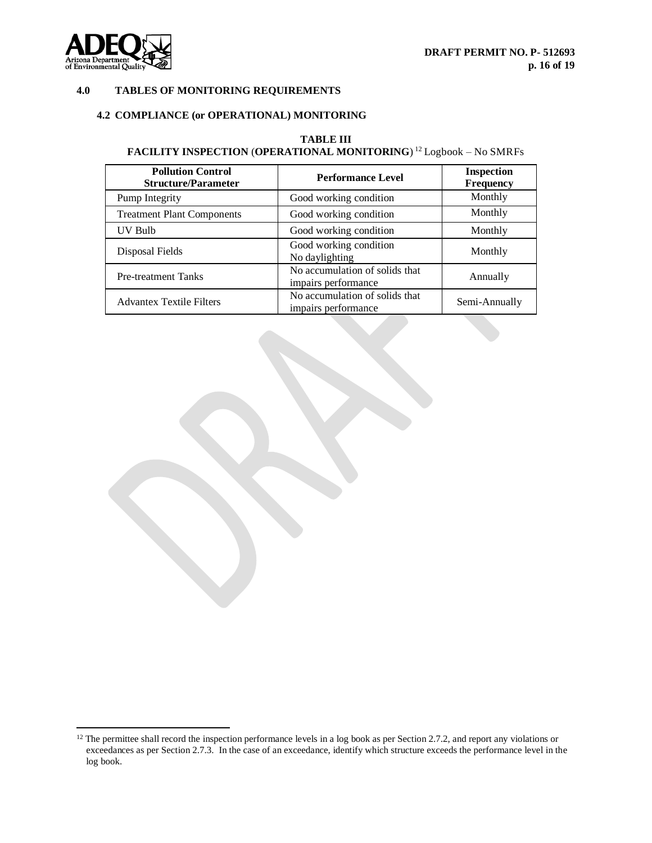

l

## **4.0 TABLES OF MONITORING REQUIREMENTS**

# **4.2 COMPLIANCE (or OPERATIONAL) MONITORING**

## **TABLE III FACILITY INSPECTION** (**OPERATIONAL MONITORING**) <sup>12</sup> Logbook – No SMRFs

| <b>Pollution Control</b><br><b>Structure/Parameter</b> | <b>Performance Level</b>                              | <b>Inspection</b><br>Frequency |
|--------------------------------------------------------|-------------------------------------------------------|--------------------------------|
| Pump Integrity                                         | Good working condition                                | Monthly                        |
| <b>Treatment Plant Components</b>                      | Good working condition                                | Monthly                        |
| UV Bulb                                                | Good working condition                                | Monthly                        |
| Disposal Fields                                        | Good working condition<br>No daylighting              | Monthly                        |
| <b>Pre-treatment Tanks</b>                             | No accumulation of solids that<br>impairs performance | Annually                       |
| <b>Advantex Textile Filters</b>                        | No accumulation of solids that<br>impairs performance | Semi-Annually                  |

 $12$  The permittee shall record the inspection performance levels in a log book as per Section 2.7.2, and report any violations or exceedances as per Section 2.7.3. In the case of an exceedance, identify which structure exceeds the performance level in the log book.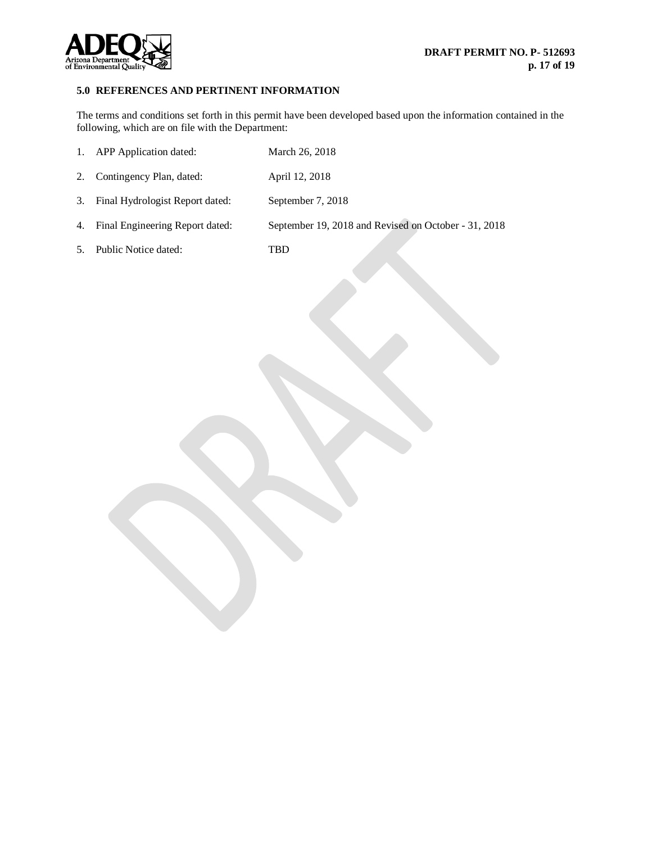

## **5.0 REFERENCES AND PERTINENT INFORMATION**

The terms and conditions set forth in this permit have been developed based upon the information contained in the following, which are on file with the Department:

|    | 1. APP Application dated:          | March 26, 2018                                       |
|----|------------------------------------|------------------------------------------------------|
| 2. | Contingency Plan, dated:           | April 12, 2018                                       |
|    | 3. Final Hydrologist Report dated: | September 7, 2018                                    |
| 4. | Final Engineering Report dated:    | September 19, 2018 and Revised on October - 31, 2018 |
| 5. | Public Notice dated:               | TBD                                                  |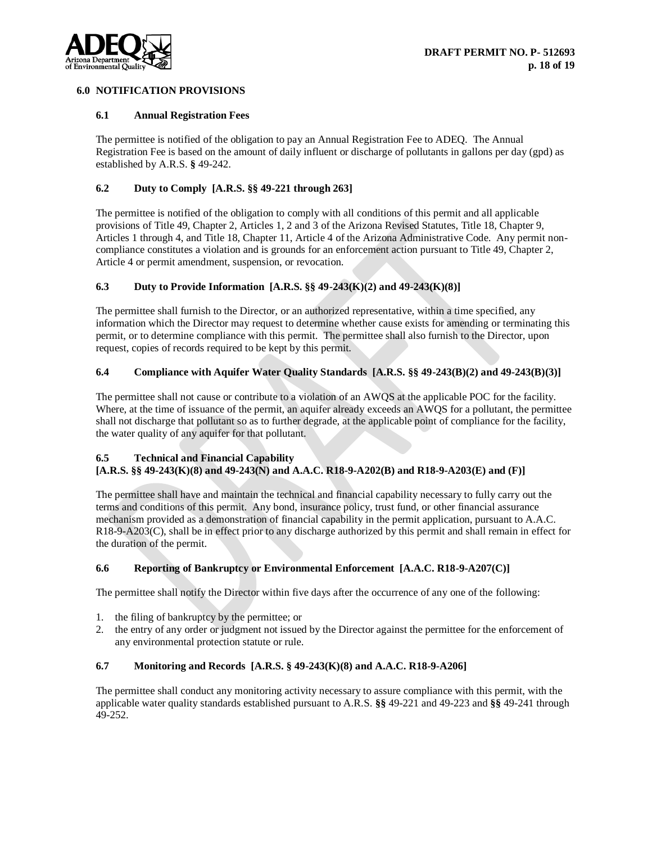

## **6.0 NOTIFICATION PROVISIONS**

#### **6.1 Annual Registration Fees**

The permittee is notified of the obligation to pay an Annual Registration Fee to ADEQ. The Annual Registration Fee is based on the amount of daily influent or discharge of pollutants in gallons per day (gpd) as established by A.R.S. **§** 49-242.

## **6.2 Duty to Comply [A.R.S. §§ 49-221 through 263]**

The permittee is notified of the obligation to comply with all conditions of this permit and all applicable provisions of Title 49, Chapter 2, Articles 1, 2 and 3 of the Arizona Revised Statutes, Title 18, Chapter 9, Articles 1 through 4, and Title 18, Chapter 11, Article 4 of the Arizona Administrative Code. Any permit noncompliance constitutes a violation and is grounds for an enforcement action pursuant to Title 49, Chapter 2, Article 4 or permit amendment, suspension, or revocation.

## **6.3 Duty to Provide Information [A.R.S. §§ 49-243(K)(2) and 49-243(K)(8)]**

The permittee shall furnish to the Director, or an authorized representative, within a time specified, any information which the Director may request to determine whether cause exists for amending or terminating this permit, or to determine compliance with this permit. The permittee shall also furnish to the Director, upon request, copies of records required to be kept by this permit.

#### **6.4 Compliance with Aquifer Water Quality Standards [A.R.S. §§ 49-243(B)(2) and 49-243(B)(3)]**

The permittee shall not cause or contribute to a violation of an AWQS at the applicable POC for the facility. Where, at the time of issuance of the permit, an aquifer already exceeds an AWQS for a pollutant, the permittee shall not discharge that pollutant so as to further degrade, at the applicable point of compliance for the facility, the water quality of any aquifer for that pollutant.

## **6.5 Technical and Financial Capability**

## **[A.R.S. §§ 49-243(K)(8) and 49-243(N) and A.A.C. R18-9-A202(B) and R18-9-A203(E) and (F)]**

The permittee shall have and maintain the technical and financial capability necessary to fully carry out the terms and conditions of this permit. Any bond, insurance policy, trust fund, or other financial assurance mechanism provided as a demonstration of financial capability in the permit application, pursuant to A.A.C. R18-9-A203(C), shall be in effect prior to any discharge authorized by this permit and shall remain in effect for the duration of the permit.

## **6.6 Reporting of Bankruptcy or Environmental Enforcement [A.A.C. R18-9-A207(C)]**

The permittee shall notify the Director within five days after the occurrence of any one of the following:

- 1. the filing of bankruptcy by the permittee; or
- 2. the entry of any order or judgment not issued by the Director against the permittee for the enforcement of any environmental protection statute or rule.

## **6.7 Monitoring and Records [A.R.S. § 49-243(K)(8) and A.A.C. R18-9-A206]**

The permittee shall conduct any monitoring activity necessary to assure compliance with this permit, with the applicable water quality standards established pursuant to A.R.S. **§§** 49-221 and 49-223 and **§§** 49-241 through 49-252.